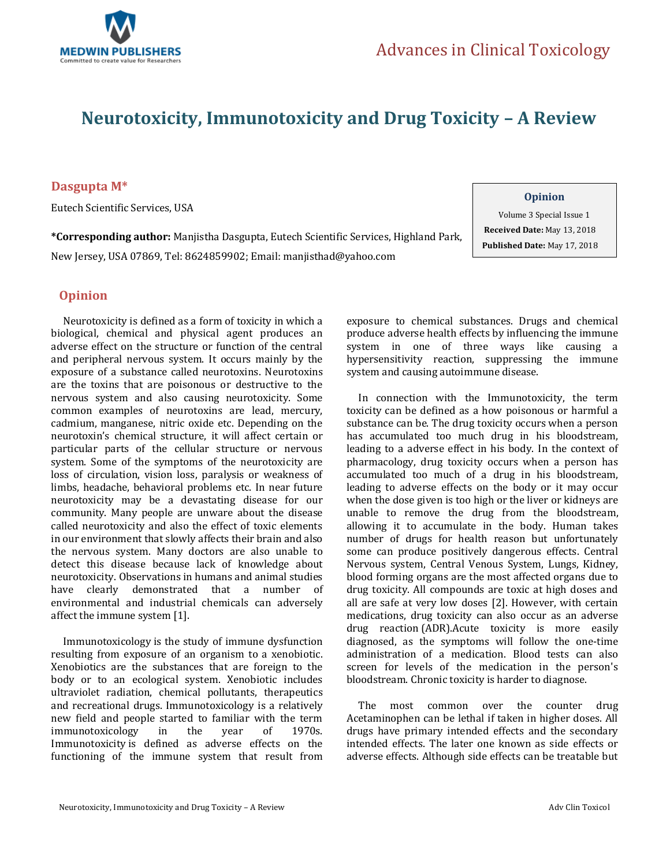

# **Neurotoxicity, Immunotoxicity and Drug Toxicity – A Review**

### **Dasgupta M\***

Eutech Scientific Services, USA

**\*Corresponding author:** Manjistha Dasgupta, Eutech Scientific Services, Highland Park, New Jersey, USA 07869, Tel: 8624859902; Email[: manjisthad@yahoo.com](mailto:manjisthad@yahoo.com)

#### **Opinion**

Volume 3 Special Issue 1  **Received Date:** May 13, 2018  **Published Date:** May 17, 2018

## **Opinion**

 Neurotoxicity is defined as a form of toxicity in which a biological, chemical and physical agent produces an adverse effect on the structure or function of the central and peripheral nervous system. It occurs mainly by the exposure of a substance called neurotoxins. Neurotoxins are the toxins that are poisonous or destructive to the nervous system and also causing neurotoxicity. Some common examples of neurotoxins are lead, mercury, cadmium, manganese, nitric oxide etc. Depending on the neurotoxin's chemical structure, it will affect certain or particular parts of the cellular structure or nervous system. Some of the symptoms of the neurotoxicity are loss of circulation, vision loss, paralysis or weakness of limbs, headache, behavioral problems etc. In near future neurotoxicity may be a devastating disease for our community. Many people are unware about the disease called neurotoxicity and also the effect of toxic elements in our environment that slowly affects their brain and also the nervous system. Many doctors are also unable to detect this disease because lack of knowledge about neurotoxicity. Observations in humans and animal studies have clearly demonstrated that a number of environmental and industrial chemicals can adversely affect the immune system [1].

 Immunotoxicology is the study of immune dysfunction resulting from exposure of an organism to a xenobiotic. Xenobiotics are the substances that are foreign to the body or to an ecological system. Xenobiotic includes ultraviolet radiation, chemical pollutants, therapeutics and recreational drugs. Immunotoxicology is a relatively new field and people started to familiar with the term immunotoxicology in the year of 1970s. Immunotoxicity is defined as adverse effects on the functioning of the immune system that result from

exposure to chemical substances. Drugs and chemical produce adverse health effects by influencing the immune system in one of three ways like causing a hypersensitivity reaction, suppressing the immune system and causing autoimmune disease.

 In connection with the Immunotoxicity, the term toxicity can be defined as a how poisonous or harmful a substance can be. The drug toxicity occurs when a person has accumulated too much drug in his bloodstream, leading to a adverse effect in his body. In the context of pharmacology, drug toxicity occurs when a person has accumulated too much of a drug in his bloodstream, leading to adverse effects on the body or it may occur when the dose given is too high or the liver or kidneys are unable to remove the drug from the bloodstream, allowing it to accumulate in the body. Human takes number of drugs for health reason but unfortunately some can produce positively dangerous effects. Central Nervous system, Central Venous System, Lungs, Kidney, blood forming organs are the most affected organs due to drug toxicity. All compounds are toxic at high doses and all are safe at very low doses [2]. However, with certain medications, drug toxicity can also occur as an adverse drug reaction (ADR).Acute toxicity is more easily diagnosed, as the symptoms will follow the one-time administration of a medication. Blood tests can also screen for levels of the medication in the person's bloodstream. Chronic toxicity is harder to diagnose.

 The most common over the counter drug Acetaminophen can be lethal if taken in higher doses. All drugs have primary intended effects and the secondary intended effects. The later one known as side effects or adverse effects. Although side effects can be treatable but